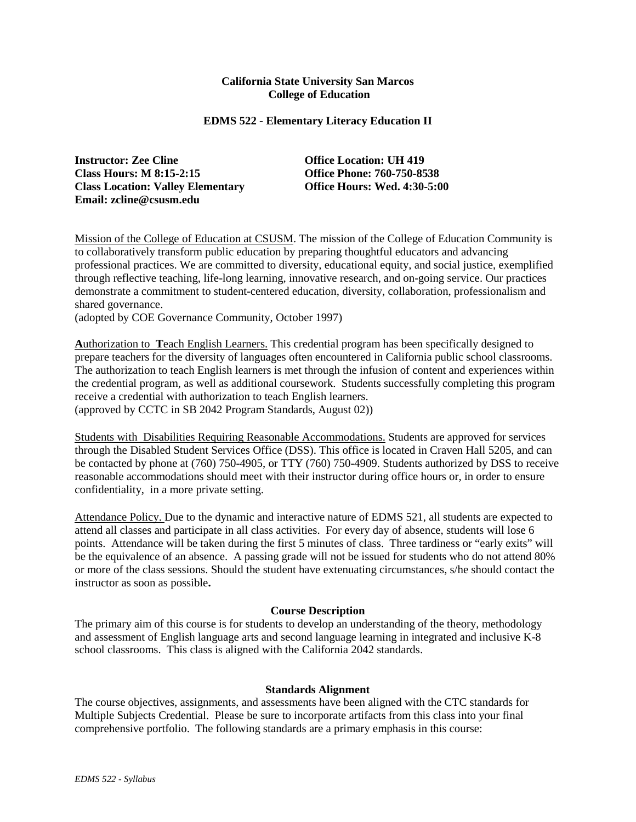### **California State University San Marcos College of Education**

### **EDMS 522 - Elementary Literacy Education II**

**Instructor: Zee Cline** *Office Location: UH 419* **Class Hours: M 8:15-2:15 Office Phone: 760-750-8538 Class Location: Valley Elementary Email: zcline@csusm.edu**

Mission of the College of Education at CSUSM. The mission of the College of Education Community is to collaboratively transform public education by preparing thoughtful educators and advancing professional practices. We are committed to diversity, educational equity, and social justice, exemplified through reflective teaching, life-long learning, innovative research, and on-going service. Our practices demonstrate a commitment to student-centered education, diversity, collaboration, professionalism and shared governance.

(adopted by COE Governance Community, October 1997)

**A**uthorization to **T**each English Learners. This credential program has been specifically designed to prepare teachers for the diversity of languages often encountered in California public school classrooms. The authorization to teach English learners is met through the infusion of content and experiences within the credential program, as well as additional coursework. Students successfully completing this program receive a credential with authorization to teach English learners. (approved by CCTC in SB 2042 Program Standards, August 02))

Students with Disabilities Requiring Reasonable Accommodations. Students are approved for services through the Disabled Student Services Office (DSS). This office is located in Craven Hall 5205, and can be contacted by phone at (760) 750-4905, or TTY (760) 750-4909. Students authorized by DSS to receive reasonable accommodations should meet with their instructor during office hours or, in order to ensure confidentiality, in a more private setting.

Attendance Policy. Due to the dynamic and interactive nature of EDMS 521, all students are expected to attend all classes and participate in all class activities. For every day of absence, students will lose 6 points. Attendance will be taken during the first 5 minutes of class. Three tardiness or "early exits" will be the equivalence of an absence. A passing grade will not be issued for students who do not attend 80% or more of the class sessions. Should the student have extenuating circumstances, s/he should contact the instructor as soon as possible**.**

## **Course Description**

The primary aim of this course is for students to develop an understanding of the theory, methodology and assessment of English language arts and second language learning in integrated and inclusive K-8 school classrooms. This class is aligned with the California 2042 standards.

#### **Standards Alignment**

The course objectives, assignments, and assessments have been aligned with the CTC standards for Multiple Subjects Credential. Please be sure to incorporate artifacts from this class into your final comprehensive portfolio. The following standards are a primary emphasis in this course: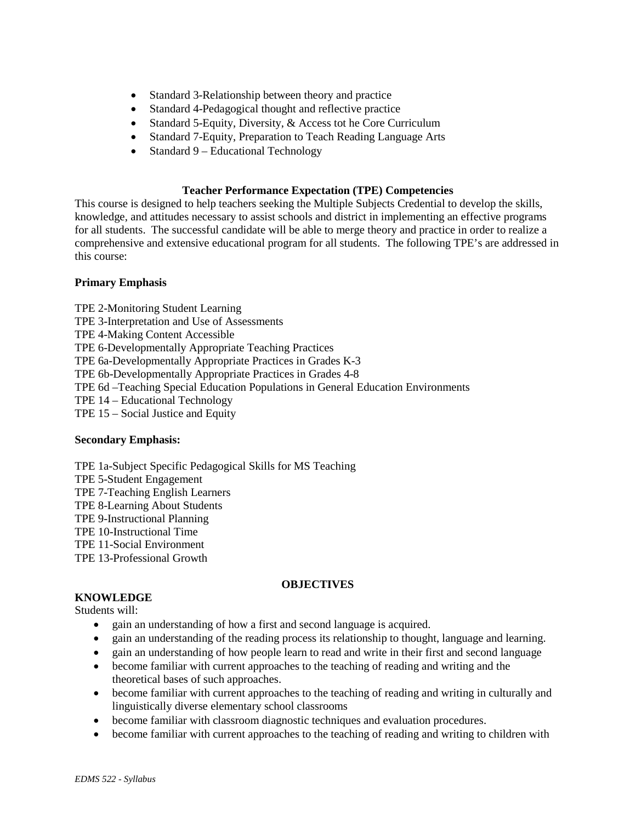- Standard 3-Relationship between theory and practice
- Standard 4-Pedagogical thought and reflective practice
- Standard 5-Equity, Diversity, & Access tot he Core Curriculum
- Standard 7-Equity, Preparation to Teach Reading Language Arts
- Standard 9 Educational Technology

### **Teacher Performance Expectation (TPE) Competencies**

This course is designed to help teachers seeking the Multiple Subjects Credential to develop the skills, knowledge, and attitudes necessary to assist schools and district in implementing an effective programs for all students. The successful candidate will be able to merge theory and practice in order to realize a comprehensive and extensive educational program for all students. The following TPE's are addressed in this course:

## **Primary Emphasis**

TPE 2-Monitoring Student Learning TPE 3-Interpretation and Use of Assessments TPE 4-Making Content Accessible TPE 6-Developmentally Appropriate Teaching Practices TPE 6a-Developmentally Appropriate Practices in Grades K-3 TPE 6b-Developmentally Appropriate Practices in Grades 4-8 TPE 6d –Teaching Special Education Populations in General Education Environments TPE 14 – Educational Technology TPE 15 – Social Justice and Equity

#### **Secondary Emphasis:**

TPE 1a-Subject Specific Pedagogical Skills for MS Teaching TPE 5-Student Engagement TPE 7-Teaching English Learners TPE 8-Learning About Students TPE 9-Instructional Planning TPE 10-Instructional Time TPE 11-Social Environment TPE 13-Professional Growth

## **OBJECTIVES**

#### **KNOWLEDGE**

Students will:

- gain an understanding of how a first and second language is acquired.
- gain an understanding of the reading process its relationship to thought, language and learning.
- gain an understanding of how people learn to read and write in their first and second language
- become familiar with current approaches to the teaching of reading and writing and the theoretical bases of such approaches.
- become familiar with current approaches to the teaching of reading and writing in culturally and linguistically diverse elementary school classrooms
- become familiar with classroom diagnostic techniques and evaluation procedures.
- become familiar with current approaches to the teaching of reading and writing to children with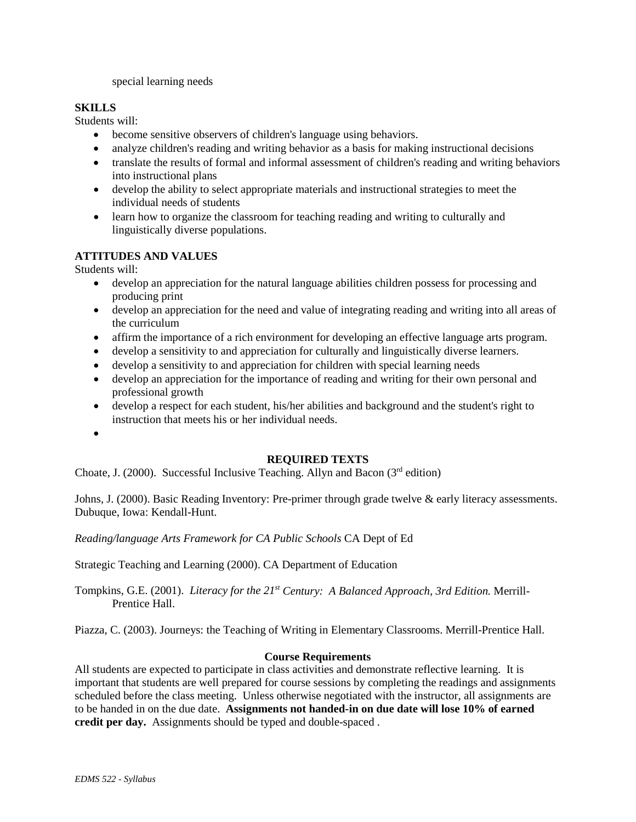special learning needs

# **SKILLS**

Students will:

- become sensitive observers of children's language using behaviors.
- analyze children's reading and writing behavior as a basis for making instructional decisions
- translate the results of formal and informal assessment of children's reading and writing behaviors into instructional plans
- develop the ability to select appropriate materials and instructional strategies to meet the individual needs of students
- learn how to organize the classroom for teaching reading and writing to culturally and linguistically diverse populations.

# **ATTITUDES AND VALUES**

Students will:

- develop an appreciation for the natural language abilities children possess for processing and producing print
- develop an appreciation for the need and value of integrating reading and writing into all areas of the curriculum
- affirm the importance of a rich environment for developing an effective language arts program.
- develop a sensitivity to and appreciation for culturally and linguistically diverse learners.
- develop a sensitivity to and appreciation for children with special learning needs
- develop an appreciation for the importance of reading and writing for their own personal and professional growth
- develop a respect for each student, his/her abilities and background and the student's right to instruction that meets his or her individual needs.
- •

## **REQUIRED TEXTS**

Choate, J. (2000). Successful Inclusive Teaching. Allyn and Bacon ( $3<sup>rd</sup>$  edition)

Johns, J. (2000). Basic Reading Inventory: Pre-primer through grade twelve & early literacy assessments. Dubuque, Iowa: Kendall-Hunt.

*Reading/language Arts Framework for CA Public Schools* CA Dept of Ed

Strategic Teaching and Learning (2000). CA Department of Education

Tompkins, G.E. (2001). *Literacy for the 21st Century: A Balanced Approach, 3rd Edition.* Merrill-Prentice Hall.

Piazza, C. (2003). Journeys: the Teaching of Writing in Elementary Classrooms. Merrill-Prentice Hall.

## **Course Requirements**

All students are expected to participate in class activities and demonstrate reflective learning. It is important that students are well prepared for course sessions by completing the readings and assignments scheduled before the class meeting. Unless otherwise negotiated with the instructor, all assignments are to be handed in on the due date. **Assignments not handed-in on due date will lose 10% of earned credit per day.** Assignments should be typed and double-spaced .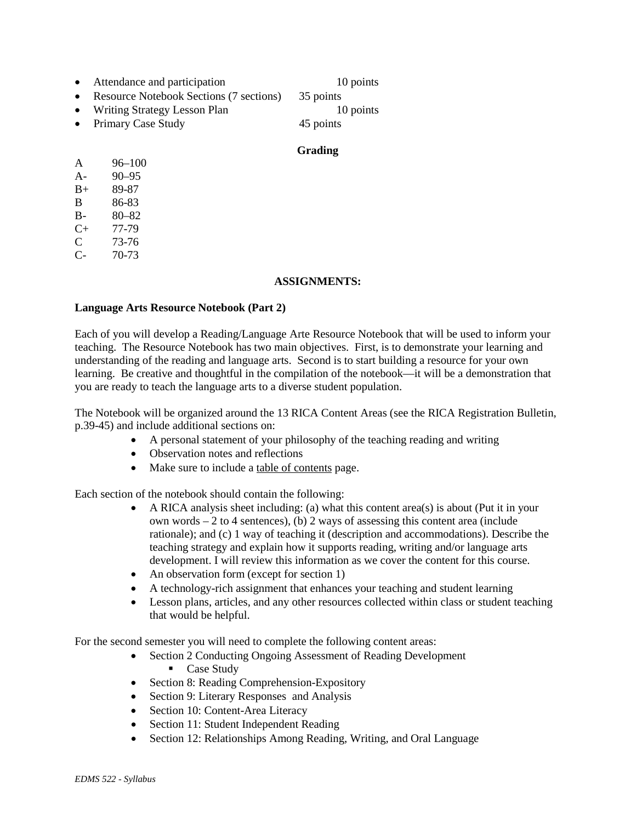- Attendance and participation 10 points
- Resource Notebook Sections (7 sections) 35 points
- Writing Strategy Lesson Plan 10 points

• Primary Case Study 45 points

## **Grading**

| A     | 96–100    |
|-------|-----------|
| $A -$ | $90 - 95$ |
| $B+$  | 89-87     |
| B     | 86-83     |
| B-    | $80 - 82$ |
| C+    | 77-79     |
| C     | 73-76     |

C- 70-73

### **ASSIGNMENTS:**

## **Language Arts Resource Notebook (Part 2)**

Each of you will develop a Reading/Language Arte Resource Notebook that will be used to inform your teaching. The Resource Notebook has two main objectives. First, is to demonstrate your learning and understanding of the reading and language arts. Second is to start building a resource for your own learning. Be creative and thoughtful in the compilation of the notebook—it will be a demonstration that you are ready to teach the language arts to a diverse student population.

The Notebook will be organized around the 13 RICA Content Areas (see the RICA Registration Bulletin, p.39-45) and include additional sections on:

- A personal statement of your philosophy of the teaching reading and writing
- Observation notes and reflections
- Make sure to include a table of contents page.

Each section of the notebook should contain the following:

- A RICA analysis sheet including: (a) what this content area(s) is about (Put it in your own words – 2 to 4 sentences), (b) 2 ways of assessing this content area (include rationale); and (c) 1 way of teaching it (description and accommodations). Describe the teaching strategy and explain how it supports reading, writing and/or language arts development. I will review this information as we cover the content for this course.
- An observation form (except for section 1)
- A technology-rich assignment that enhances your teaching and student learning
- Lesson plans, articles, and any other resources collected within class or student teaching that would be helpful.

For the second semester you will need to complete the following content areas:

- Section 2 Conducting Ongoing Assessment of Reading Development Case Study
- Section 8: Reading Comprehension-Expository
- Section 9: Literary Responses and Analysis
- Section 10: Content-Area Literacy
- Section 11: Student Independent Reading
- Section 12: Relationships Among Reading, Writing, and Oral Language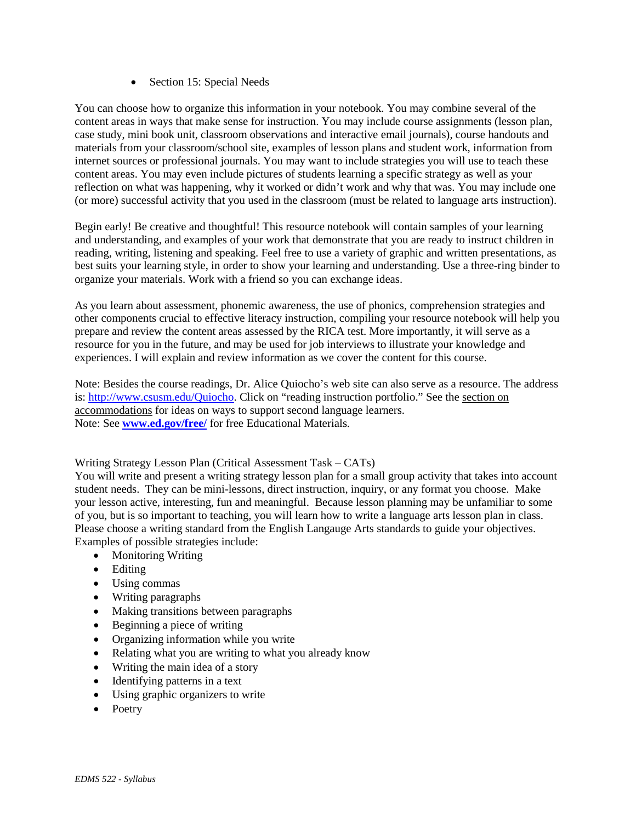• Section 15: Special Needs

You can choose how to organize this information in your notebook. You may combine several of the content areas in ways that make sense for instruction. You may include course assignments (lesson plan, case study, mini book unit, classroom observations and interactive email journals), course handouts and materials from your classroom/school site, examples of lesson plans and student work, information from internet sources or professional journals. You may want to include strategies you will use to teach these content areas. You may even include pictures of students learning a specific strategy as well as your reflection on what was happening, why it worked or didn't work and why that was. You may include one (or more) successful activity that you used in the classroom (must be related to language arts instruction).

Begin early! Be creative and thoughtful! This resource notebook will contain samples of your learning and understanding, and examples of your work that demonstrate that you are ready to instruct children in reading, writing, listening and speaking. Feel free to use a variety of graphic and written presentations, as best suits your learning style, in order to show your learning and understanding. Use a three-ring binder to organize your materials. Work with a friend so you can exchange ideas.

As you learn about assessment, phonemic awareness, the use of phonics, comprehension strategies and other components crucial to effective literacy instruction, compiling your resource notebook will help you prepare and review the content areas assessed by the RICA test. More importantly, it will serve as a resource for you in the future, and may be used for job interviews to illustrate your knowledge and experiences. I will explain and review information as we cover the content for this course.

Note: Besides the course readings, Dr. Alice Quiocho's web site can also serve as a resource. The address is: [http://www.csusm.edu/Quiocho.](http://www.csusm.edu/Quiocho) Click on "reading instruction portfolio." See the section on accommodations for ideas on ways to support second language learners. Note: See **[www.ed.gov/free/](http://www.ed.gov/free/)** for free Educational Materials.

Writing Strategy Lesson Plan (Critical Assessment Task – CATs)

You will write and present a writing strategy lesson plan for a small group activity that takes into account student needs. They can be mini-lessons, direct instruction, inquiry, or any format you choose. Make your lesson active, interesting, fun and meaningful. Because lesson planning may be unfamiliar to some of you, but is so important to teaching, you will learn how to write a language arts lesson plan in class. Please choose a writing standard from the English Langauge Arts standards to guide your objectives. Examples of possible strategies include:

- Monitoring Writing
- Editing
- Using commas
- Writing paragraphs
- Making transitions between paragraphs
- Beginning a piece of writing
- Organizing information while you write
- Relating what you are writing to what you already know
- Writing the main idea of a story
- Identifying patterns in a text
- Using graphic organizers to write
- Poetry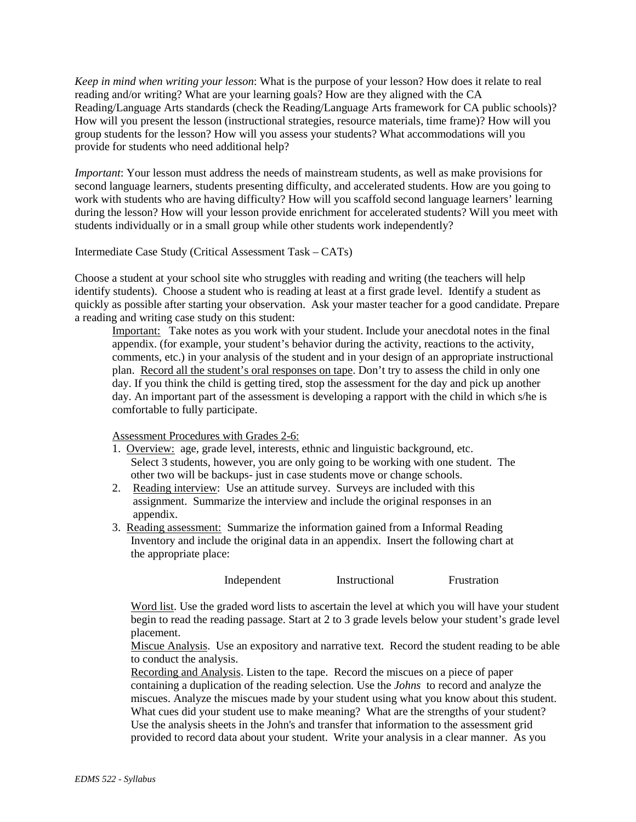*Keep in mind when writing your lesson*: What is the purpose of your lesson? How does it relate to real reading and/or writing? What are your learning goals? How are they aligned with the CA Reading/Language Arts standards (check the Reading/Language Arts framework for CA public schools)? How will you present the lesson (instructional strategies, resource materials, time frame)? How will you group students for the lesson? How will you assess your students? What accommodations will you provide for students who need additional help?

*Important*: Your lesson must address the needs of mainstream students, as well as make provisions for second language learners, students presenting difficulty, and accelerated students. How are you going to work with students who are having difficulty? How will you scaffold second language learners' learning during the lesson? How will your lesson provide enrichment for accelerated students? Will you meet with students individually or in a small group while other students work independently?

Intermediate Case Study (Critical Assessment Task – CATs)

Choose a student at your school site who struggles with reading and writing (the teachers will help identify students). Choose a student who is reading at least at a first grade level. Identify a student as quickly as possible after starting your observation. Ask your master teacher for a good candidate. Prepare a reading and writing case study on this student:

Important: Take notes as you work with your student. Include your anecdotal notes in the final appendix. (for example, your student's behavior during the activity, reactions to the activity, comments, etc.) in your analysis of the student and in your design of an appropriate instructional plan. Record all the student's oral responses on tape. Don't try to assess the child in only one day. If you think the child is getting tired, stop the assessment for the day and pick up another day. An important part of the assessment is developing a rapport with the child in which s/he is comfortable to fully participate.

Assessment Procedures with Grades 2-6:

- 1. Overview: age, grade level, interests, ethnic and linguistic background, etc. Select 3 students, however, you are only going to be working with one student. The other two will be backups- just in case students move or change schools.
- 2. Reading interview: Use an attitude survey. Surveys are included with this assignment. Summarize the interview and include the original responses in an appendix.
- 3. Reading assessment: Summarize the information gained from a Informal Reading Inventory and include the original data in an appendix. Insert the following chart at the appropriate place:

Independent Instructional Frustration

Word list. Use the graded word lists to ascertain the level at which you will have your student begin to read the reading passage. Start at 2 to 3 grade levels below your student's grade level placement.

Miscue Analysis. Use an expository and narrative text. Record the student reading to be able to conduct the analysis.

Recording and Analysis. Listen to the tape. Record the miscues on a piece of paper containing a duplication of the reading selection. Use the *Johns* to record and analyze the miscues. Analyze the miscues made by your student using what you know about this student. What cues did your student use to make meaning? What are the strengths of your student? Use the analysis sheets in the John's and transfer that information to the assessment grid provided to record data about your student. Write your analysis in a clear manner. As you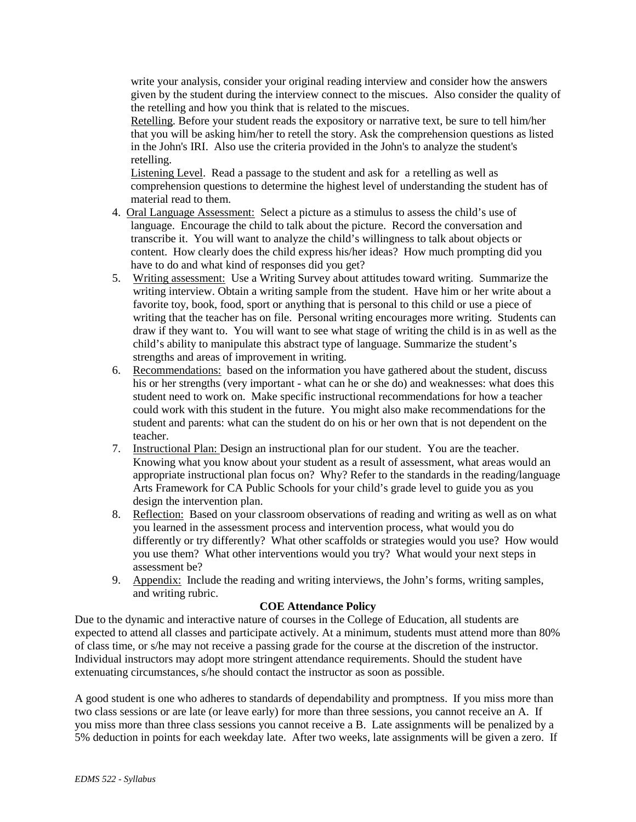write your analysis, consider your original reading interview and consider how the answers given by the student during the interview connect to the miscues. Also consider the quality of the retelling and how you think that is related to the miscues.

Retelling. Before your student reads the expository or narrative text, be sure to tell him/her that you will be asking him/her to retell the story. Ask the comprehension questions as listed in the John's IRI. Also use the criteria provided in the John's to analyze the student's retelling.

Listening Level. Read a passage to the student and ask for a retelling as well as comprehension questions to determine the highest level of understanding the student has of material read to them.

- 4. Oral Language Assessment: Select a picture as a stimulus to assess the child's use of language. Encourage the child to talk about the picture. Record the conversation and transcribe it. You will want to analyze the child's willingness to talk about objects or content. How clearly does the child express his/her ideas? How much prompting did you have to do and what kind of responses did you get?
- 5. Writing assessment: Use a Writing Survey about attitudes toward writing. Summarize the writing interview. Obtain a writing sample from the student. Have him or her write about a favorite toy, book, food, sport or anything that is personal to this child or use a piece of writing that the teacher has on file. Personal writing encourages more writing. Students can draw if they want to. You will want to see what stage of writing the child is in as well as the child's ability to manipulate this abstract type of language. Summarize the student's strengths and areas of improvement in writing.
- 6. Recommendations: based on the information you have gathered about the student, discuss his or her strengths (very important - what can he or she do) and weaknesses: what does this student need to work on. Make specific instructional recommendations for how a teacher could work with this student in the future. You might also make recommendations for the student and parents: what can the student do on his or her own that is not dependent on the teacher.
- 7. Instructional Plan: Design an instructional plan for our student. You are the teacher. Knowing what you know about your student as a result of assessment, what areas would an appropriate instructional plan focus on? Why? Refer to the standards in the reading/language Arts Framework for CA Public Schools for your child's grade level to guide you as you design the intervention plan.
- 8. Reflection: Based on your classroom observations of reading and writing as well as on what you learned in the assessment process and intervention process, what would you do differently or try differently? What other scaffolds or strategies would you use? How would you use them? What other interventions would you try? What would your next steps in assessment be?
- 9. Appendix: Include the reading and writing interviews, the John's forms, writing samples, and writing rubric.

## **COE Attendance Policy**

Due to the dynamic and interactive nature of courses in the College of Education, all students are expected to attend all classes and participate actively. At a minimum, students must attend more than 80% of class time, or s/he may not receive a passing grade for the course at the discretion of the instructor. Individual instructors may adopt more stringent attendance requirements. Should the student have extenuating circumstances, s/he should contact the instructor as soon as possible.

A good student is one who adheres to standards of dependability and promptness. If you miss more than two class sessions or are late (or leave early) for more than three sessions, you cannot receive an A. If you miss more than three class sessions you cannot receive a B. Late assignments will be penalized by a 5% deduction in points for each weekday late. After two weeks, late assignments will be given a zero. If